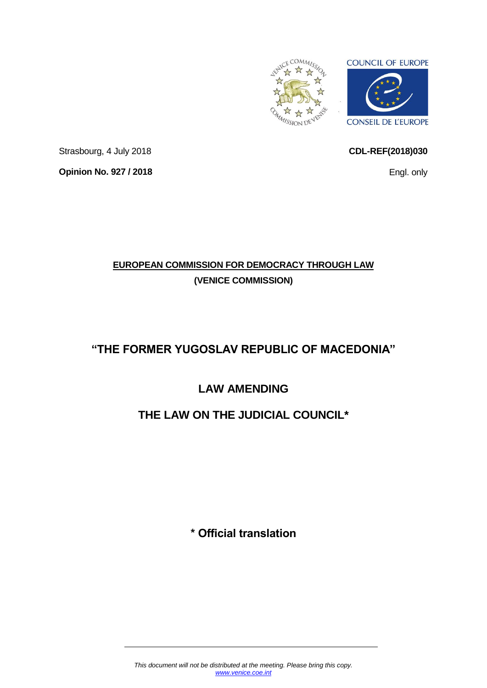

<span id="page-0-0"></span>**CDL-REF(2018)030**

Engl. only

Strasbourg, 4 July 2018 **Opinion No. 927 / 2018**

# **EUROPEAN COMMISSION FOR DEMOCRACY THROUGH LAW (VENICE COMMISSION)**

# **"THE FORMER YUGOSLAV REPUBLIC OF MACEDONIA"**

# **LAW AMENDING**

# **THE LAW ON THE JUDICIAL COUNCIL\***

**\* Official translation**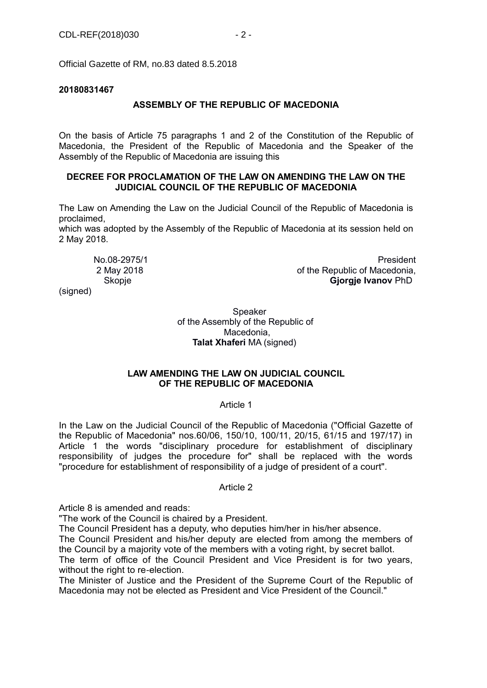Official Gazette of RM, no.83 dated 8.5.2018

## **20180831467**

# **ASSEMBLY OF THE REPUBLIC OF MACEDONIA**

On the basis of Article 75 paragraphs 1 and 2 of the Constitution of the Republic of Macedonia, the President of the Republic of Macedonia and the Speaker of the Assembly of the Republic of Macedonia are issuing this

# **DECREE FOR PROCLAMATION OF THE LAW ON AMENDING THE LAW ON THE JUDICIAL COUNCIL OF THE REPUBLIC OF MACEDONIA**

The Law on Amending the Law on the Judicial Council of the Republic of Macedonia is proclaimed,

which was adopted by the Assembly of the Republic of Macedonia at its session held on 2 May 2018.

 No.08-2975/1 President 2 May 2018 of the Republic of Macedonia, Skopje **Gjorgje Ivanov** PhD

(signed)

#### Speaker of the Assembly of the Republic of Macedonia, **Talat Xhaferi** MA (signed)

# **LAW AMENDING THE LAW ON JUDICIAL COUNCIL OF THE REPUBLIC OF MACEDONIA**

#### Article 1

In the Law on the Judicial Council of the Republic of Macedonia ("Official Gazette of the Republic of Macedonia" nos.60/06, 150/10, 100/11, 20/15, 61/15 and 197/17) in Article 1 the words "disciplinary procedure for establishment of disciplinary responsibility of judges the procedure for" shall be replaced with the words "procedure for establishment of responsibility of a judge of president of a court".

#### Article 2

Article 8 is amended and reads:

"The work of the Council is chaired by a President.

The Council President has a deputy, who deputies him/her in his/her absence.

The Council President and his/her deputy are elected from among the members of the Council by a majority vote of the members with a voting right, by secret ballot.

The term of office of the Council President and Vice President is for two years, without the right to re-election.

The Minister of Justice and the President of the Supreme Court of the Republic of Macedonia may not be elected as President and Vice President of the Council."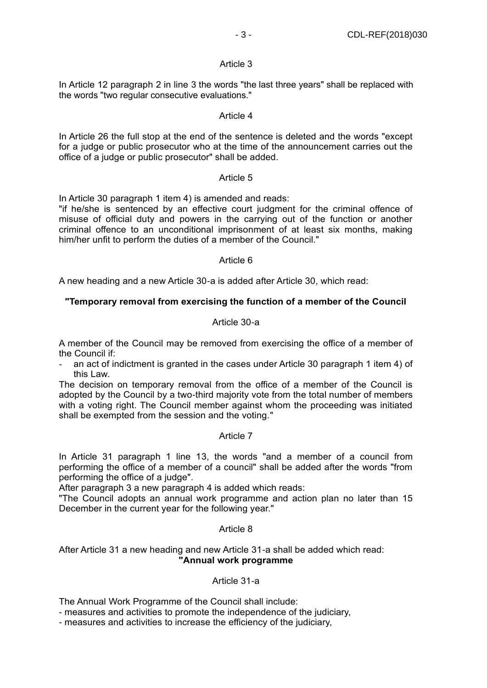In Article 12 paragraph 2 in line 3 the words "the last three years" shall be replaced with the words "two regular consecutive evaluations."

## Article 4

In Article 26 the full stop at the end of the sentence is deleted and the words "except for a judge or public prosecutor who at the time of the announcement carries out the office of a judge or public prosecutor" shall be added.

# Article 5

In Article 30 paragraph 1 item 4) is amended and reads:

"if he/she is sentenced by an effective court judgment for the criminal offence of misuse of official duty and powers in the carrying out of the function or another criminal offence to an unconditional imprisonment of at least six months, making him/her unfit to perform the duties of a member of the Council."

# Article 6

A new heading and a new Article 30-a is added after Article 30, which read:

# **"Temporary removal from exercising the function of a member of the Council**

# Article 30-a

A member of the Council may be removed from exercising the office of a member of the Council if:

- an act of indictment is granted in the cases under Article 30 paragraph 1 item 4) of this Law.

The decision on temporary removal from the office of a member of the Council is adopted by the Council by a two-third majority vote from the total number of members with a voting right. The Council member against whom the proceeding was initiated shall be exempted from the session and the voting."

#### Article 7

In Article 31 paragraph 1 line 13, the words "and a member of a council from performing the office of a member of a council" shall be added after the words "from performing the office of a judge".

After paragraph 3 a new paragraph 4 is added which reads:

"The Council adopts an annual work programme and action plan no later than 15 December in the current year for the following year."

#### Article 8

# After Article 31 a new heading and new Article 31-a shall be added which read: **"Annual work programme**

# Article 31-a

The Annual Work Programme of the Council shall include:

- measures and activities to promote the independence of the judiciary,

- measures and activities to increase the efficiency of the judiciary,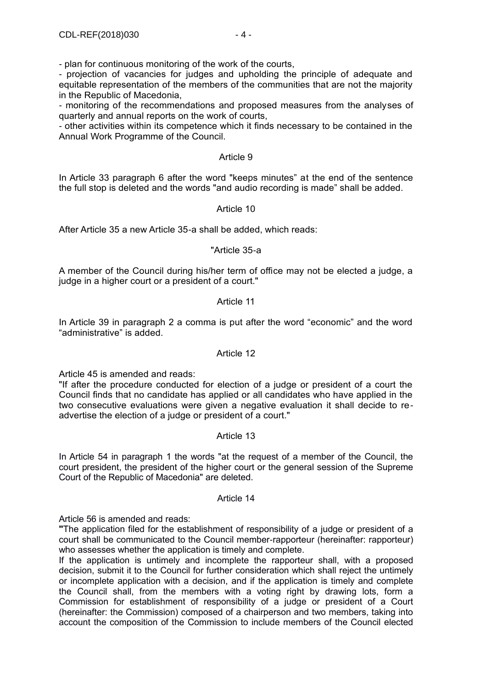- plan for continuous monitoring of the work of the courts,

- projection of vacancies for judges and upholding the principle of adequate and equitable representation of the members of the communities that are not the majority in the Republic of Macedonia,

- monitoring of the recommendations and proposed measures from the analyses of quarterly and annual reports on the work of courts,

- other activities within its competence which it finds necessary to be contained in the Annual Work Programme of the Council.

# Article 9

In Article 33 paragraph 6 after the word "keeps minutes" at the end of the sentence the full stop is deleted and the words "and audio recording is made" shall be added.

# Article 10

After Article 35 a new Article 35-a shall be added, which reads:

# "Article 35-a

A member of the Council during his/her term of office may not be elected a judge, a judge in a higher court or a president of a court."

# Article 11

In Article 39 in paragraph 2 a comma is put after the word "economic" and the word "administrative" is added.

### Article 12

Article 45 is amended and reads:

"If after the procedure conducted for election of a judge or president of a court the Council finds that no candidate has applied or all candidates who have applied in the two consecutive evaluations were given a negative evaluation it shall decide to readvertise the election of a judge or president of a court."

#### Article 13

In Article 54 in paragraph 1 the words "at the request of a member of the Council, the court president, the president of the higher court or the general session of the Supreme Court of the Republic of Macedonia" are deleted.

#### Article 14

Article 56 is amended and reads:

**"**The application filed for the establishment of responsibility of a judge or president of a court shall be communicated to the Council member-rapporteur (hereinafter: rapporteur) who assesses whether the application is timely and complete.

If the application is untimely and incomplete the rapporteur shall, with a proposed decision, submit it to the Council for further consideration which shall reject the untimely or incomplete application with a decision, and if the application is timely and complete the Council shall, from the members with a voting right by drawing lots, form a Commission for establishment of responsibility of a judge or president of a Court (hereinafter: the Commission) composed of a chairperson and two members, taking into account the composition of the Commission to include members of the Council elected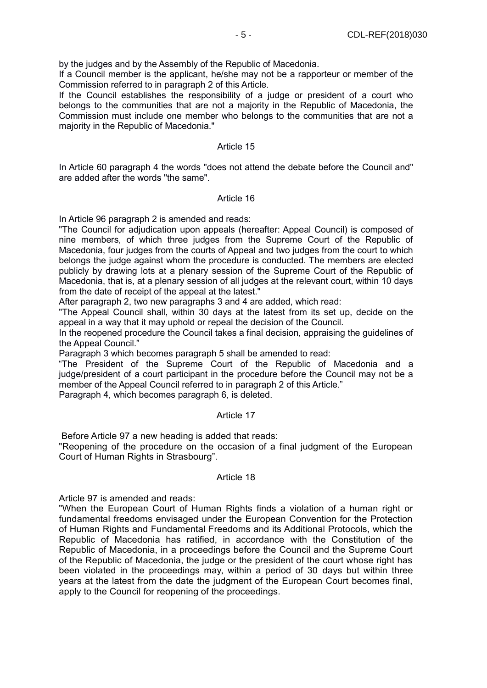by the judges and by the Assembly of the Republic of Macedonia.

If a Council member is the applicant, he/she may not be a rapporteur or member of the Commission referred to in paragraph 2 of this Article.

If the Council establishes the responsibility of a judge or president of a court who belongs to the communities that are not a majority in the Republic of Macedonia, the Commission must include one member who belongs to the communities that are not a majority in the Republic of Macedonia."

#### Article 15

In Article 60 paragraph 4 the words "does not attend the debate before the Council and" are added after the words "the same".

# Article 16

In Article 96 paragraph 2 is amended and reads:

"The Council for adjudication upon appeals (hereafter: Appeal Council) is composed of nine members, of which three judges from the Supreme Court of the Republic of Macedonia, four judges from the courts of Appeal and two judges from the court to which belongs the judge against whom the procedure is conducted. The members are elected publicly by drawing lots at a plenary session of the Supreme Court of the Republic of Macedonia, that is, at a plenary session of all judges at the relevant court, within 10 days from the date of receipt of the appeal at the latest."

After paragraph 2, two new paragraphs 3 and 4 are added, which read:

"The Appeal Council shall, within 30 days at the latest from its set up, decide on the appeal in a way that it may uphold or repeal the decision of the Council.

In the reopened procedure the Council takes a final decision, appraising the guidelines of the Appeal Council."

Paragraph 3 which becomes paragraph 5 shall be amended to read:

"The President of the Supreme Court of the Republic of Macedonia and a judge/president of a court participant in the procedure before the Council may not be a member of the Appeal Council referred to in paragraph 2 of this Article."

Paragraph 4, which becomes paragraph 6, is deleted.

#### Article 17

Before Article 97 a new heading is added that reads:

"Reopening of the procedure on the occasion of a final judgment of the European Court of Human Rights in Strasbourg".

#### Article 18

Article 97 is amended and reads:

"When the European Court of Human Rights finds a violation of a human right or fundamental freedoms envisaged under the European Convention for the Protection of Human Rights and Fundamental Freedoms and its Additional Protocols, which the Republic of Macedonia has ratified, in accordance with the Constitution of the Republic of Macedonia, in a proceedings before the Council and the Supreme Court of the Republic of Macedonia, the judge or the president of the court whose right has been violated in the proceedings may, within a period of 30 days but within three years at the latest from the date the judgment of the European Court becomes final, apply to the Council for reopening of the proceedings.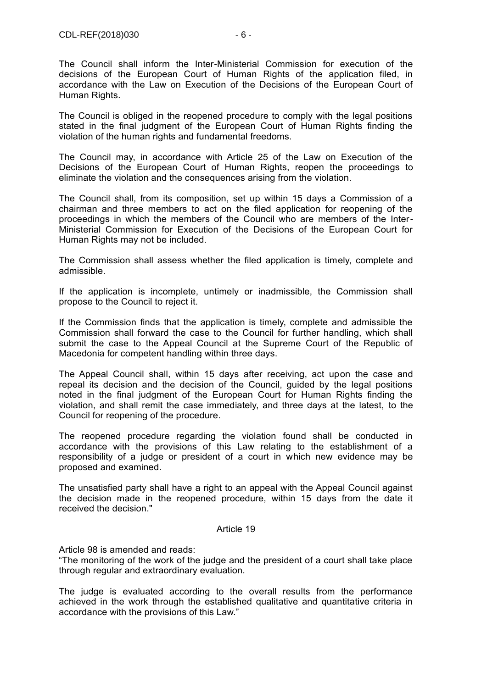The Council shall inform the Inter-Ministerial Commission for execution of the decisions of the European Court of Human Rights of the application filed, in accordance with the Law on Execution of the Decisions of the European Court of Human Rights.

The Council is obliged in the reopened procedure to comply with the legal positions stated in the final judgment of the European Court of Human Rights finding the violation of the human rights and fundamental freedoms.

The Council may, in accordance with Article 25 of the Law on Execution of the Decisions of the European Court of Human Rights, reopen the proceedings to eliminate the violation and the consequences arising from the violation.

The Council shall, from its composition, set up within 15 days a Commission of a chairman and three members to act on the filed application for reopening of the proceedings in which the members of the Council who are members of the Inter-Ministerial Commission for Execution of the Decisions of the European Court for Human Rights may not be included.

The Commission shall assess whether the filed application is timely, complete and admissible.

If the application is incomplete, untimely or inadmissible, the Commission shall propose to the Council to reject it.

If the Commission finds that the application is timely, complete and admissible the Commission shall forward the case to the Council for further handling, which shall submit the case to the Appeal Council at the Supreme Court of the Republic of Macedonia for competent handling within three days.

The Appeal Council shall, within 15 days after receiving, act upon the case and repeal its decision and the decision of the Council, guided by the legal positions noted in the final judgment of the European Court for Human Rights finding the violation, and shall remit the case immediately, and three days at the latest, to the Council for reopening of the procedure.

The reopened procedure regarding the violation found shall be conducted in accordance with the provisions of this Law relating to the establishment of a responsibility of a judge or president of a court in which new evidence may be proposed and examined.

The unsatisfied party shall have a right to an appeal with the Appeal Council against the decision made in the reopened procedure, within 15 days from the date it received the decision."

#### Article 19

Article 98 is amended and reads:

"The monitoring of the work of the judge and the president of a court shall take place through regular and extraordinary evaluation.

The judge is evaluated according to the overall results from the performance achieved in the work through the established qualitative and quantitative criteria in accordance with the provisions of this Law."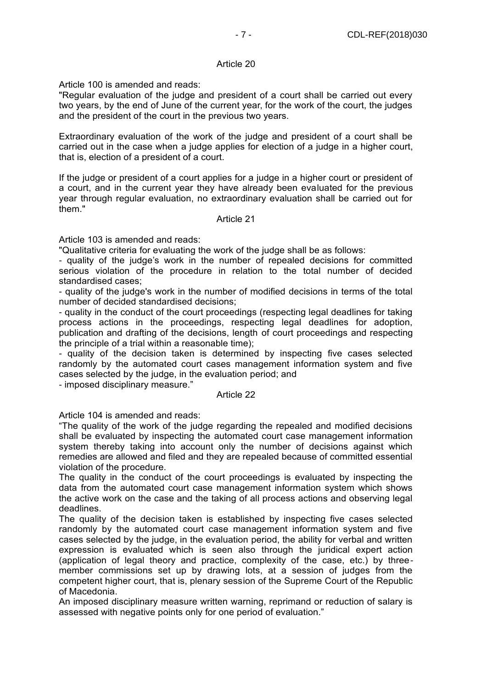Article 100 is amended and reads:

"Regular evaluation of the judge and president of a court shall be carried out every two years, by the end of June of the current year, for the work of the court, the judges and the president of the court in the previous two years.

Extraordinary evaluation of the work of the judge and president of a court shall be carried out in the case when a judge applies for election of a judge in a higher court, that is, election of a president of a court.

If the judge or president of a court applies for a judge in a higher court or president of a court, and in the current year they have already been evaluated for the previous year through regular evaluation, no extraordinary evaluation shall be carried out for them."

# Article 21

Article 103 is amended and reads:

"Qualitative criteria for evaluating the work of the judge shall be as follows:

- quality of the judge's work in the number of repealed decisions for committed serious violation of the procedure in relation to the total number of decided standardised cases;

- quality of the judge's work in the number of modified decisions in terms of the total number of decided standardised decisions;

- quality in the conduct of the court proceedings (respecting legal deadlines for taking process actions in the proceedings, respecting legal deadlines for adoption, publication and drafting of the decisions, length of court proceedings and respecting the principle of a trial within a reasonable time);

- quality of the decision taken is determined by inspecting five cases selected randomly by the automated court cases management information system and five cases selected by the judge, in the evaluation period; and

- imposed disciplinary measure."

## Article 22

Article 104 is amended and reads:

"The quality of the work of the judge regarding the repealed and modified decisions shall be evaluated by inspecting the automated court case management information system thereby taking into account only the number of decisions against which remedies are allowed and filed and they are repealed because of committed essential violation of the procedure.

The quality in the conduct of the court proceedings is evaluated by inspecting the data from the automated court case management information system which shows the active work on the case and the taking of all process actions and observing legal deadlines.

The quality of the decision taken is established by inspecting five cases selected randomly by the automated court case management information system and five cases selected by the judge, in the evaluation period, the ability for verbal and written expression is evaluated which is seen also through the juridical expert action (application of legal theory and practice, complexity of the case, etc.) by threemember commissions set up by drawing lots, at a session of judges from the competent higher court, that is, plenary session of the Supreme Court of the Republic of Macedonia.

An imposed disciplinary measure written warning, reprimand or reduction of salary is assessed with negative points only for one period of evaluation."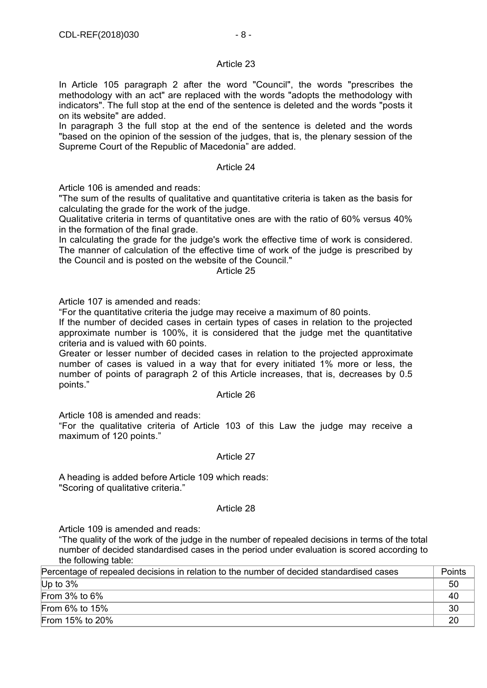In Article 105 paragraph 2 after the word "Council", the words "prescribes the methodology with an act" are replaced with the words "adopts the methodology with indicators". The full stop at the end of the sentence is deleted and the words "posts it on its website" are added.

In paragraph 3 the full stop at the end of the sentence is deleted and the words "based on the opinion of the session of the judges, that is, the plenary session of the Supreme Court of the Republic of Macedonia" are added.

## Article 24

Article 106 is amended and reads:

"The sum of the results of qualitative and quantitative criteria is taken as the basis for calculating the grade for the work of the judge.

Qualitative criteria in terms of quantitative ones are with the ratio of 60% versus 40% in the formation of the final grade.

In calculating the grade for the judge's work the effective time of work is considered. The manner of calculation of the effective time of work of the judge is prescribed by the Council and is posted on the website of the Council."

Article 25

Article 107 is amended and reads:

"For the quantitative criteria the judge may receive a maximum of 80 points.

If the number of decided cases in certain types of cases in relation to the projected approximate number is 100%, it is considered that the judge met the quantitative criteria and is valued with 60 points.

Greater or lesser number of decided cases in relation to the projected approximate number of cases is valued in a way that for every initiated 1% more or less, the number of points of paragraph 2 of this Article increases, that is, decreases by 0.5 points."

#### Article 26

Article 108 is amended and reads:

"For the qualitative criteria of Article 103 of this Law the judge may receive a maximum of 120 points."

#### Article 27

A heading is added before Article 109 which reads: "Scoring of qualitative criteria."

#### Article 28

Article 109 is amended and reads:

"The quality of the work of the judge in the number of repealed decisions in terms of the total number of decided standardised cases in the period under evaluation is scored according to the following table:

| Percentage of repealed decisions in relation to the number of decided standardised cases | Points |
|------------------------------------------------------------------------------------------|--------|
| Up to $3\%$                                                                              | 50     |
| From $3\%$ to $6\%$                                                                      | 40     |
| From $6\%$ to $15\%$                                                                     | 30     |
| From 15% to 20%                                                                          | 20     |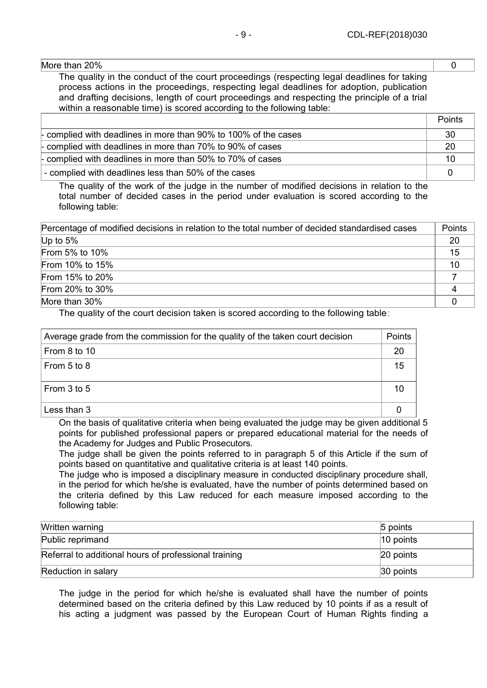More than 20% **Details and the contract of the contract of the contract of the contract of the contract of the contract of the contract of the contract of the contract of the contract of the contract of the contract of the** 

The quality in the conduct of the court proceedings (respecting legal deadlines for taking process actions in the proceedings, respecting legal deadlines for adoption, publication and drafting decisions, length of court proceedings and respecting the principle of a trial within a reasonable time) is scored according to the following table:

|                                                                  | Points |
|------------------------------------------------------------------|--------|
| - complied with deadlines in more than 90% to 100% of the cases  | -30    |
| - complied with deadlines in more than $70\%$ to $90\%$ of cases | -20    |
| - complied with deadlines in more than 50% to 70% of cases       | 10     |
| - complied with deadlines less than 50% of the cases             |        |

The quality of the work of the judge in the number of modified decisions in relation to the total number of decided cases in the period under evaluation is scored according to the following table:

| Percentage of modified decisions in relation to the total number of decided standardised cases | Points |
|------------------------------------------------------------------------------------------------|--------|
| Up to $5\%$                                                                                    | 20     |
| From 5% to 10%                                                                                 | 15     |
| From 10% to 15%                                                                                | 10     |
| From 15% to 20%                                                                                |        |
| From 20% to 30%                                                                                |        |
| More than 30%                                                                                  |        |

The quality of the court decision taken is scored according to the following table:

| Average grade from the commission for the quality of the taken court decision |    |
|-------------------------------------------------------------------------------|----|
| From 8 to 10                                                                  | 20 |
| From 5 to 8                                                                   | 15 |
| From 3 to 5                                                                   | 10 |
| Less than 3                                                                   |    |

On the basis of qualitative criteria when being evaluated the judge may be given additional 5 points for published professional papers or prepared educational material for the needs of the Academy for Judges and Public Prosecutors.

The judge shall be given the points referred to in paragraph 5 of this Article if the sum of points based on quantitative and qualitative criteria is at least 140 points.

The judge who is imposed a disciplinary measure in conducted disciplinary procedure shall, in the period for which he/she is evaluated, have the number of points determined based on the criteria defined by this Law reduced for each measure imposed according to the following table:

| Written warning                                       | $5$ points   |
|-------------------------------------------------------|--------------|
| Public reprimand                                      | $ 10$ points |
| Referral to additional hours of professional training | 20 points    |
| Reduction in salary                                   | 30 points    |

The judge in the period for which he/she is evaluated shall have the number of points determined based on the criteria defined by this Law reduced by 10 points if as a result of his acting a judgment was passed by the European Court of Human Rights finding a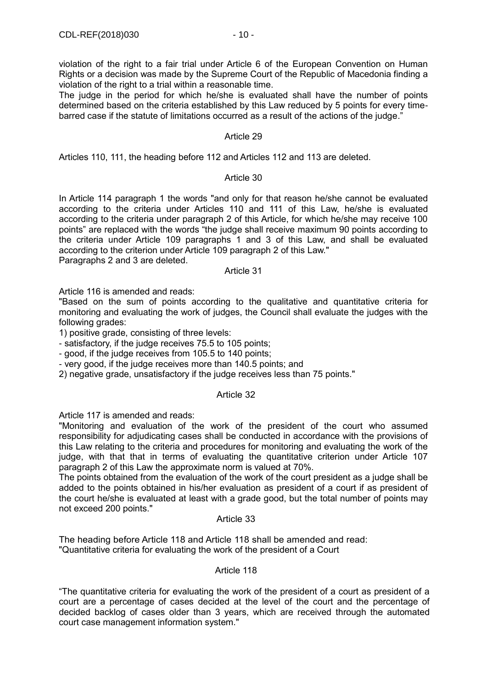violation of the right to a fair trial under Article 6 of the European Convention on Human Rights or a decision was made by the Supreme Court of the Republic of Macedonia finding a violation of the right to a trial within a reasonable time.

The judge in the period for which he/she is evaluated shall have the number of points determined based on the criteria established by this Law reduced by 5 points for every timebarred case if the statute of limitations occurred as a result of the actions of the judge."

# Article 29

Articles 110, 111, the heading before 112 and Articles 112 and 113 are deleted.

# Article 30

In Article 114 paragraph 1 the words "and only for that reason he/she cannot be evaluated according to the criteria under Articles 110 and 111 of this Law, he/she is evaluated according to the criteria under paragraph 2 of this Article, for which he/she may receive 100 points" are replaced with the words "the judge shall receive maximum 90 points according to the criteria under Article 109 paragraphs 1 and 3 of this Law, and shall be evaluated according to the criterion under Article 109 paragraph 2 of this Law."

Paragraphs 2 and 3 are deleted.

#### Article 31

Article 116 is amended and reads:

"Based on the sum of points according to the qualitative and quantitative criteria for monitoring and evaluating the work of judges, the Council shall evaluate the judges with the following grades:

1) positive grade, consisting of three levels:

- satisfactory, if the judge receives 75.5 to 105 points;

- good, if the judge receives from 105.5 to 140 points;

- very good, if the judge receives more than 140.5 points; and

2) negative grade, unsatisfactory if the judge receives less than 75 points."

#### Article 32

Article 117 is amended and reads:

"Monitoring and evaluation of the work of the president of the court who assumed responsibility for adjudicating cases shall be conducted in accordance with the provisions of this Law relating to the criteria and procedures for monitoring and evaluating the work of the judge, with that that in terms of evaluating the quantitative criterion under Article 107 paragraph 2 of this Law the approximate norm is valued at 70%.

The points obtained from the evaluation of the work of the court president as a judge shall be added to the points obtained in his/her evaluation as president of a court if as president of the court he/she is evaluated at least with a grade good, but the total number of points may not exceed 200 points."

# Article 33

The heading before Article 118 and Article 118 shall be amended and read: "Quantitative criteria for evaluating the work of the president of a Court

#### Article 118

"The quantitative criteria for evaluating the work of the president of a court as president of a court are a percentage of cases decided at the level of the court and the percentage of decided backlog of cases older than 3 years, which are received through the automated court case management information system."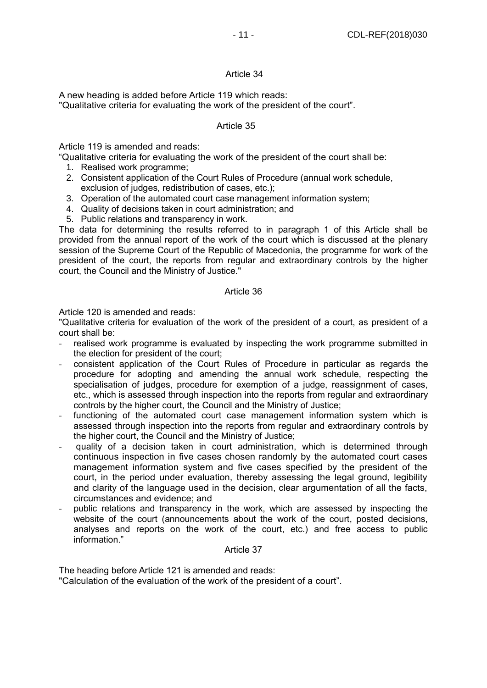A new heading is added before Article 119 which reads:

"Qualitative criteria for evaluating the work of the president of the court".

# Article 35

Article 119 is amended and reads:

"Qualitative criteria for evaluating the work of the president of the court shall be:

- 1. Realised work programme;
- 2. Consistent application of the Court Rules of Procedure (annual work schedule, exclusion of judges, redistribution of cases, etc.);
- 3. Operation of the automated court case management information system;
- 4. Quality of decisions taken in court administration; and
- 5. Public relations and transparency in work.

The data for determining the results referred to in paragraph 1 of this Article shall be provided from the annual report of the work of the court which is discussed at the plenary session of the Supreme Court of the Republic of Macedonia, the programme for work of the president of the court, the reports from regular and extraordinary controls by the higher court, the Council and the Ministry of Justice."

# Article 36

Article 120 is amended and reads:

"Qualitative criteria for evaluation of the work of the president of a court, as president of a court shall be:

- **-** realised work programme is evaluated by inspecting the work programme submitted in the election for president of the court;
- **-** consistent application of the Court Rules of Procedure in particular as regards the procedure for adopting and amending the annual work schedule, respecting the specialisation of judges, procedure for exemption of a judge, reassignment of cases, etc., which is assessed through inspection into the reports from regular and extraordinary controls by the higher court, the Council and the Ministry of Justice;
- **-** functioning of the automated court case management information system which is assessed through inspection into the reports from regular and extraordinary controls by the higher court, the Council and the Ministry of Justice;
- **-** quality of a decision taken in court administration, which is determined through continuous inspection in five cases chosen randomly by the automated court cases management information system and five cases specified by the president of the court, in the period under evaluation, thereby assessing the legal ground, legibility and clarity of the language used in the decision, clear argumentation of all the facts, circumstances and evidence; and
- **-** public relations and transparency in the work, which are assessed by inspecting the website of the court (announcements about the work of the court, posted decisions, analyses and reports on the work of the court, etc.) and free access to public information."

#### Article 37

The heading before Article 121 is amended and reads:

"Calculation of the evaluation of the work of the president of a court".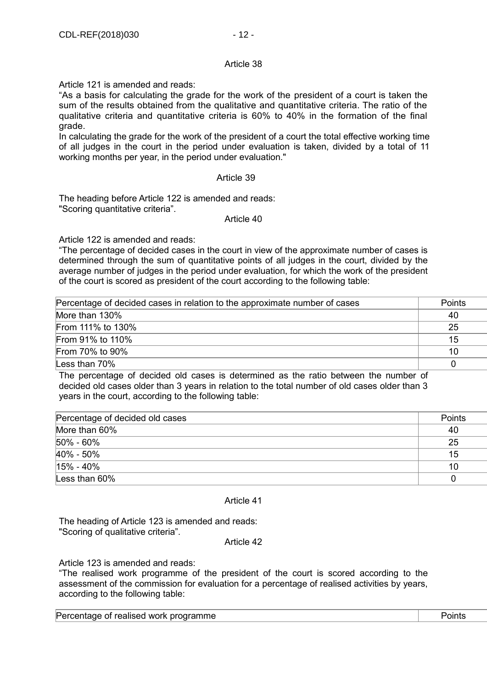Article 121 is amended and reads:

"As a basis for calculating the grade for the work of the president of a court is taken the sum of the results obtained from the qualitative and quantitative criteria. The ratio of the qualitative criteria and quantitative criteria is 60% to 40% in the formation of the final grade.

In calculating the grade for the work of the president of a court the total effective working time of all judges in the court in the period under evaluation is taken, divided by a total of 11 working months per year, in the period under evaluation."

#### Article 39

The heading before Article 122 is amended and reads: "Scoring quantitative criteria".

#### Article 40

Article 122 is amended and reads:

"The percentage of decided cases in the court in view of the approximate number of cases is determined through the sum of quantitative points of all judges in the court, divided by the average number of judges in the period under evaluation, for which the work of the president of the court is scored as president of the court according to the following table:

| Percentage of decided cases in relation to the approximate number of cases              | <b>Points</b> |
|-----------------------------------------------------------------------------------------|---------------|
| More than 130%                                                                          | 40            |
| From 111% to 130%                                                                       | 25            |
| From 91% to 110%                                                                        | 15            |
| From 70% to 90%                                                                         | 10            |
| Less than 70%                                                                           |               |
| The personalizes of desided ald esses in determined as the potte between the purpose of |               |

The percentage of decided old cases is determined as the ratio between the number of decided old cases older than 3 years in relation to the total number of old cases older than 3 years in the court, according to the following table:

| Percentage of decided old cases | Points |
|---------------------------------|--------|
| More than 60%                   | 40     |
| 50% - 60%                       | 25     |
| 40% - 50%                       | 15     |
| $15\% - 40\%$                   | 10     |
| Less than 60%                   | 0      |

#### Article 41

The heading of Article 123 is amended and reads: "Scoring of qualitative criteria".

Article 42

Article 123 is amended and reads:

"The realised work programme of the president of the court is scored according to the assessment of the commission for evaluation for a percentage of realised activities by years, according to the following table:

Percentage of realised work programme **Points** Points **Points**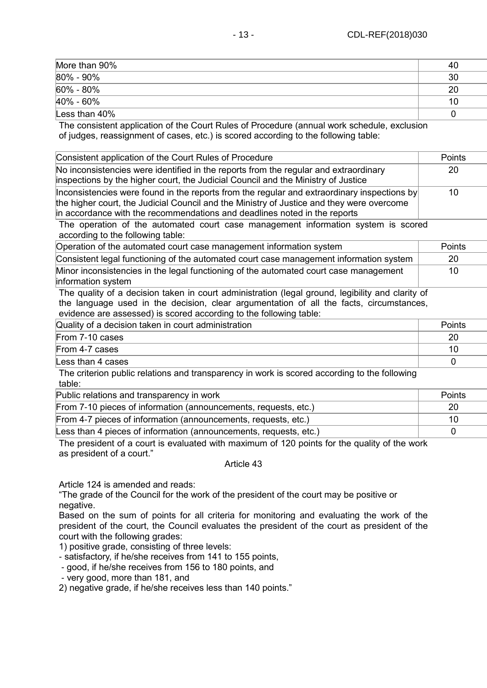| More than 90% | 40 |
|---------------|----|
| 80% - 90%     | 30 |
| 60% - 80%     | 20 |
| 40% - 60%     | 10 |
| Less than 40% |    |

The consistent application of the Court Rules of Procedure (annual work schedule, exclusion of judges, reassignment of cases, etc.) is scored according to the following table:

| Consistent application of the Court Rules of Procedure                                                                                                                                                                                                                | Points        |
|-----------------------------------------------------------------------------------------------------------------------------------------------------------------------------------------------------------------------------------------------------------------------|---------------|
| No inconsistencies were identified in the reports from the regular and extraordinary<br>inspections by the higher court, the Judicial Council and the Ministry of Justice                                                                                             | 20            |
| Inconsistencies were found in the reports from the regular and extraordinary inspections by<br>the higher court, the Judicial Council and the Ministry of Justice and they were overcome<br>in accordance with the recommendations and deadlines noted in the reports | 10            |
| The operation of the automated court case management information system is scored<br>according to the following table:                                                                                                                                                |               |
| Operation of the automated court case management information system                                                                                                                                                                                                   | <b>Points</b> |
| Consistent legal functioning of the automated court case management information system                                                                                                                                                                                | 20            |
| Minor inconsistencies in the legal functioning of the automated court case management<br>information system                                                                                                                                                           | 10            |

The quality of a decision taken in court administration (legal ground, legibility and clarity of the language used in the decision, clear argumentation of all the facts, circumstances, evidence are assessed) is scored according to the following table:

| Quality of a decision taken in court administration                                  | Points |
|--------------------------------------------------------------------------------------|--------|
| From 7-10 cases                                                                      |        |
| From 4-7 cases                                                                       |        |
| Less than 4 cases                                                                    |        |
| - 天日 こうしんしょう こうしんせい こうしゅしょう こうしょうこう こうこうこう こうしょうしょう こうこうこう おうこうこうほう こまい はいしゅんせい こまいい |        |

The criterion public relations and transparency in work is scored according to the following table:

Public relations and transparency in work Points

| $\mathfrak{g}$ abily relations and transparency in Work.          | נטווויט ו |
|-------------------------------------------------------------------|-----------|
| From 7-10 pieces of information (announcements, requests, etc.)   |           |
| From 4-7 pieces of information (announcements, requests, etc.)    |           |
| Less than 4 pieces of information (announcements, requests, etc.) |           |

The president of a court is evaluated with maximum of 120 points for the quality of the work as president of a court."

### Article 43

Article 124 is amended and reads:

"The grade of the Council for the work of the president of the court may be positive or negative.

Based on the sum of points for all criteria for monitoring and evaluating the work of the president of the court, the Council evaluates the president of the court as president of the court with the following grades:

1) positive grade, consisting of three levels:

- satisfactory, if he/she receives from 141 to 155 points,

- good, if he/she receives from 156 to 180 points, and

- very good, more than 181, and

2) negative grade, if he/she receives less than 140 points."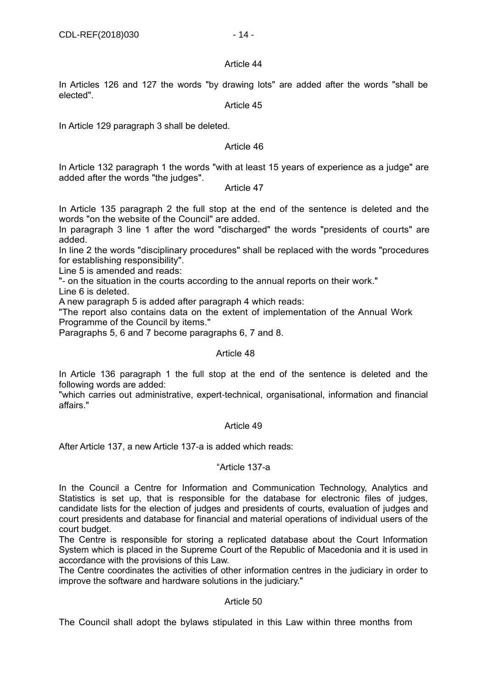In Articles 126 and 127 the words "by drawing lots" are added after the words "shall be elected".

# Article 45

In Article 129 paragraph 3 shall be deleted.

# Article 46

In Article 132 paragraph 1 the words "with at least 15 years of experience as a judge" are added after the words "the judges".

# Article 47

In Article 135 paragraph 2 the full stop at the end of the sentence is deleted and the words "on the website of the Council" are added.

In paragraph 3 line 1 after the word "discharged" the words "presidents of courts" are added.

In line 2 the words "disciplinary procedures" shall be replaced with the words "procedures for establishing responsibility".

Line 5 is amended and reads:

"- on the situation in the courts according to the annual reports on their work."

Line 6 is deleted.

A new paragraph 5 is added after paragraph 4 which reads:

"The report also contains data on the extent of implementation of the Annual Work Programme of the Council by items."

Paragraphs 5, 6 and 7 become paragraphs 6, 7 and 8.

# Article 48

In Article 136 paragraph 1 the full stop at the end of the sentence is deleted and the following words are added:

"which carries out administrative, expert-technical, organisational, information and financial affairs."

# Article 49

After Article 137, a new Article 137-a is added which reads:

# "Article 137-a

In the Council a Centre for Information and Communication Technology, Analytics and Statistics is set up, that is responsible for the database for electronic files of judges, candidate lists for the election of judges and presidents of courts, evaluation of judges and court presidents and database for financial and material operations of individual users of the court budget.

The Centre is responsible for storing a replicated database about the Court Information System which is placed in the Supreme Court of the Republic of Macedonia and it is used in accordance with the provisions of this Law.

The Centre coordinates the activities of other information centres in the judiciary in order to improve the software and hardware solutions in the judiciary."

# Article 50

The Council shall adopt the bylaws stipulated in this Law within three months from